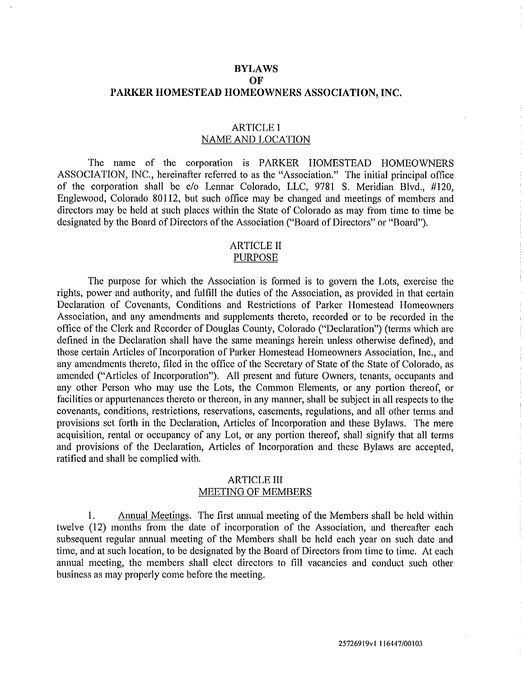### **BYLAWS OF PARKER HOMESTEAD HOMEOWNERS ASSOCIATION, INC.**

### ARTICLE I NAME AND LOCATION

The name of the corporation is PARKER HOMESTEAD HOMEOWNERS ASSOCIATION, INC., hereinafter referred to as the "Association." The initial principal office of the corporation shall be c/o Lennar Colorado, LLC, 9781 S. Meridian Blvd., #120, Englewood, Colorado 80112, but such office may be changed and meetings of members and directors may be held at such places within the State of Colorado as may from time to time be designated by the Board of Directors of the Association ("Board of Directors" or "Board").

#### ARTICLE II PURPOSE

The purpose for which the Association is formed is to govern the Lots, exercise the rights, power and authority, and fulfill the duties of the Association, as provided in that certain Declaration of Covenants, Conditions and Restrictions of Parker Homestead Homeowners Association, and any amendments and supplements thereto, recorded or to be recorded in the office of the Clerk and Recorder of Douglas County, Colorado ("Declaration") (terms which are defined in the Declaration shall have the same meanings herein unless otherwise defined), and those cettain Atticles of Incorporation of Parker Homestead Homeowners Association, Inc., and any amendments thereto, filed in the office of the Secretary of State of the State of Colorado, as amended ("Articles of Incorporation"). All present and future Owners, tenants, occupants and any other Person who may use the Lots, the Common Elements, or any portion thereof, or facilities or appurtenances thereto or thereon, in any manner, shall be subject in all respects to the covenants, conditions, restrictions, reservations, easements, regulations, and all other terms and provisions set forth in the Declaration, Articles of Incorporation and these Bylaws. The mere acquisition, rental or occupancy of any Lot, or any portion thereof, shall signify that all terms and provisions of the Declaration, Articles of Incorporation and these Bylaws are accepted, ratified and shall be complied with.

### ARTICLE III MEETING OF MEMBERS

I. Annual Meetings. The first annual meeting of the Members shall be held within twelve (12) months from the date of incorporation of the Association, and thereafter each subsequent regular annual meeting of the Members shall be held each year on such date and time, and at such location, to be designated by the Board of Directors from time to time. At each annual meeting, the members shall elect directors to fill vacancies and conduct such other business as may properly come before the meeting.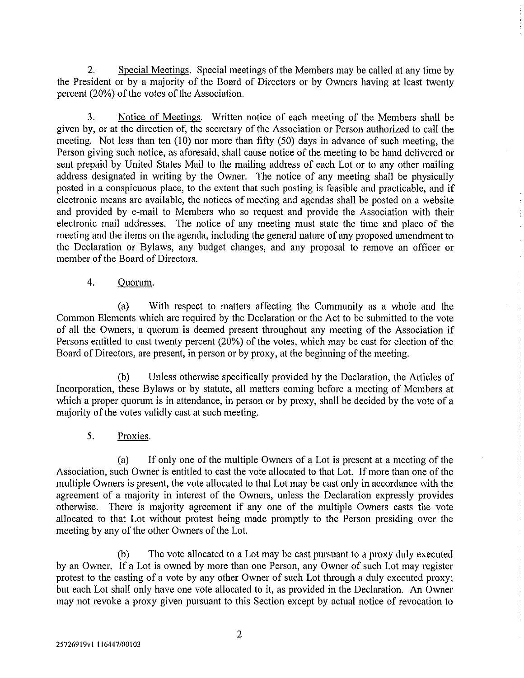2. Special Meetings. Special meetings of the Members may be called at any time by the President or by a majority of the Board of Directors or by Owners having at least twenty percent (20%) of the votes of the Association.

3. Notice of Meetings. Written notice of each meeting of the Members shall be given by, or at the direction of, the secretary of the Association or Person authorized to call the meeting. Not less than ten  $(10)$  nor more than fifty  $(50)$  days in advance of such meeting, the Person giving such notice, as aforesaid, shall cause notice of the meeting to be hand delivered or sent prepaid by United States Mail to the mailing address of each Lot or to any other mailing address designated in writing by the Owner. The notice of any meeting shall be physically posted in a conspicuous place, to the extent that such posting is feasible and practicable, and if electronic means are available, the notices of meeting and agendas shall be posted on a website and provided by e-mail to Members who so request and provide the Association with their electronic mail addresses. The notice of any meeting must state the time and place of the meeting and the items on the agenda, including the general nature of any proposed amendment to the Declaration or Bylaws, any budget changes, and any proposal to remove an officer or member of the Board of Directors.

# 4. Quorum.

(a) With respect to matters affecting the Community as a whole and the Common Elements which are required by the Declaration or the Act to be submitted to the vote of all the Owners, a quorum is deemed present throughout any meeting of the Association if Persons entitled to cast twenty percent (20%) of the votes, which may be cast for election of the Board of Directors, are present, in person or by proxy, at the beginning of the meeting.

(b) Unless otherwise specifically provided by the Declaration, the A1ticles of Incorporation, these Bylaws or by statute, all matters coming before a meeting of Members at which a proper quorum is in attendance, in person or by proxy, shall be decided by the vote of a majority of the votes validly cast at such meeting.

# 5. Proxies.

(a) If only one of the multiple Owners of a Lot is present at a meeting of the Association, such Owner is entitled to cast the vote allocated to that Lot. If more than one of the multiple Owners is present, the vote allocated to that Lot may be cast only in accordance with the agreement of a majority in interest of the Owners, unless the Declaration expressly provides otherwise. There is majority agreement if any one of the multiple Owners casts the vote allocated to that Lot without protest being made promptly to the Person presiding over the meeting by any of the other Owners of the Lot.

(b) The vote allocated to a Lot may be cast pursuant to a proxy duly executed by an Owner. If a Lot is owned by more than one Person, any Owner of such Lot may register protest to the casting of a vote by any other Owner of such Lot through a duly executed proxy; but each Lot shall only have one vote allocated to it, as provided in the Declaration. An Owner may not revoke a proxy given pursuant to this Section except by actual notice of revocation to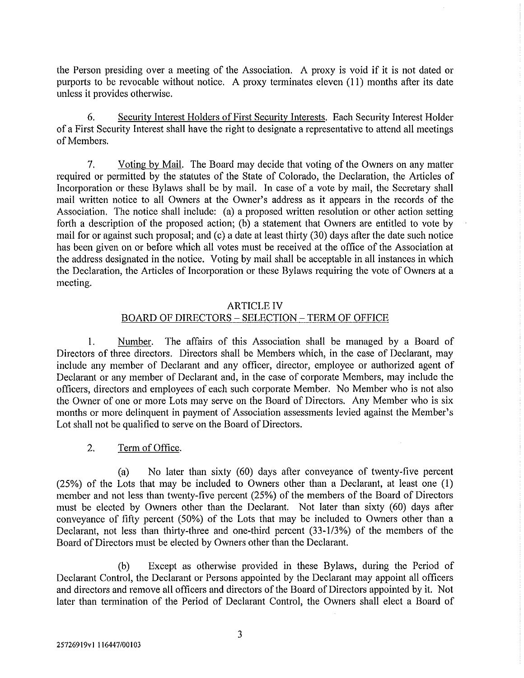the Person presiding over a meeting of the Association. A proxy is void if it is not dated or purports to be revocable without notice. A proxy terminates eleven (11) months after its date unless it provides otherwise.

6. Security Interest Holders of First Security Interests. Each Security Interest Holder of a First Security Interest shall have the right to designate a representative to attend all meetings of Members.

7. Voting by Mail. The Board may decide that voting of the Owners on any matter required or permitted by the statutes of the State of Colorado, the Declaration, the Articles of Incorporation or these Bylaws shall be by mail. In case of a vote by mail, the Secretary shall mail written notice to all Owners at the Owner's address as it appears in the records of the Association. The notice shall include: (a) a proposed written resolution or other action setting fotih a description of the proposed action; (b) a statement that Owners are entitled to vote by mail for or against such proposal; and (c) a date at least thirty (30) days after the date such notice has been given on or before which all votes must be received at the office of the Association at the address designated in the notice. Voting by mail shall be acceptable in all instances in which the Declaration, the Articles of Incorporation or these Bylaws requiring the vote of Owners at a meeting.

### ARTICLE IV

# BOARD OF DIRECTORS- SELECTION- TERM OF OFFICE

I. Number. The affairs of this Association shall be managed by a Board of Directors of three directors. Directors shall be Members which, in the case of Declarant, may include any member of Declarant and any officer, director, employee or authorized agent of Declarant or any member of Declarant and, in the case of corporate Members, may include the officers, directors and employees of each such corporate Member. No Member who is not also the Owner of one or more Lots may serve on the Board of Directors. Any Member who is six months or more delinquent in payment of Association assessments levied against the Member's Lot shall not be qualified to serve on the Board of Directors.

# 2. Term of Office.

(a) No later than sixty (60) days after conveyance of twenty-five percent (25%) of the Lots that may be included to Owners other than a Declarant, at least one (I) member and not less than twenty-five percent (25%) of the members of the Board of Directors must be elected by Owners other than the Declarant. Not later than sixty (60) days after conveyance of fifty percent (50%) of the Lots that may be included to Owners other than a Declarant, not less than thirty-three and one-third percent (33-1/3%) of the members of the Board of Directors must be elected by Owners other than the Declarant.

(b) Except as otherwise provided in these Bylaws, during the Period of Declarant Control, the Declarant or Persons appointed by the Declarant may appoint all officers and directors and remove all officers and directors of the Board of Directors appointed by it. Not later than termination of the Period of Declarant Control, the Owners shall elect a Board of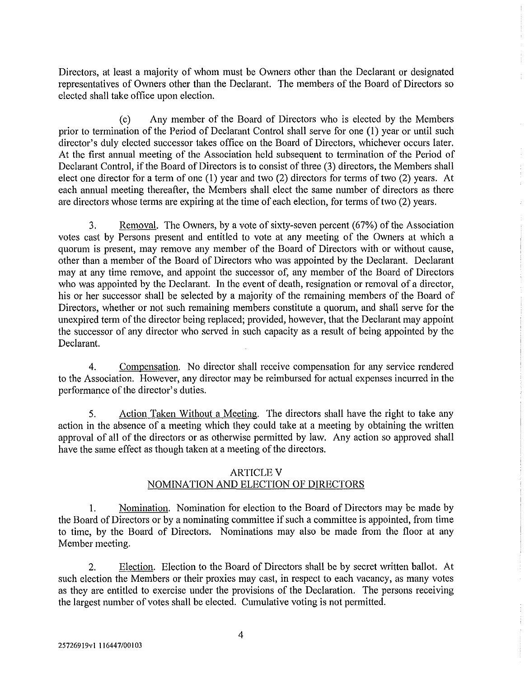Directors, at least a majority of whom must be Owners other than the Declarant or designated representatives of Owners other than the Declarant. The members of the Board of Directors so elected shall take office upon election.

(c) Any member of the Board of Directors who is elected by the Members prior to termination of the Period of Declarant Control shall serve for one (I) year or until such director's duly elected successor takes office on the Board of Directors, whichever occurs later. At the first annual meeting of the Association held subsequent to termination of the Period of Declarant Control, if the Board of Directors is to consist of three (3) directors, the Members shall elect one director for a term of one (1) year and two (2) directors for terms of two (2) years. At each annual meeting thereafter, the Members shall elect the same number of directors as there are directors whose terms are expiring at the time of each election, for terms of two (2) years.

3. Removal. The Owners, by a vote of sixty-seven percent (67%) of the Association votes cast by Persons present and entitled to vote at any meeting of the Owners at which a quorum is present, may remove any member of the Board of Directors with or without cause, other than a member of the Board of Directors who was appointed by the Declarant. Declarant may at any time remove, and appoint the successor of, any member of the Board of Directors who was appointed by the Declarant. In the event of death, resignation or removal of a director, his or her successor shall be selected by a majority of the remaining members of the Board of Directors, whether or not such remaining members constitute a quorum, and shall serve for the unexpired term of the director being replaced; provided, however, that the Declarant may appoint the successor of any director who served in such capacity as a result of being appointed by the Declarant.

4. Compensation. No director shall receive compensation for any service rendered to the Association. However, any director may be reimbursed for actual expenses incurred in the performance of the director's duties.

5. Action Taken Without a Meeting. The directors shall have the right to take any action in the absence of a meeting which they could take at a meeting by obtaining the written approval of all of the directors or as otherwise permitted by law. Any action so approved shall have the same effect as though taken at a meeting of the directors.

### **ARTICLE V**

# NOMINATION AND ELECTION OF DIRECTORS

1. Nomination. Nomination for election to the Board of Directors may be made by the Board of Directors or by a nominating committee if such a committee is appointed, from time to time, by the Board of Directors. Nominations may also be made from the floor at any Member meeting.

2. Election. Election to the Board of Directors shall be by secret written ballot. At such election the Members or their proxies may cast, in respect to each vacancy, as many votes as they are entitled to exercise under the provisions of the Declaration. The persons receiving the largest number of votes shall be elected. Cumulative voting is not permitted.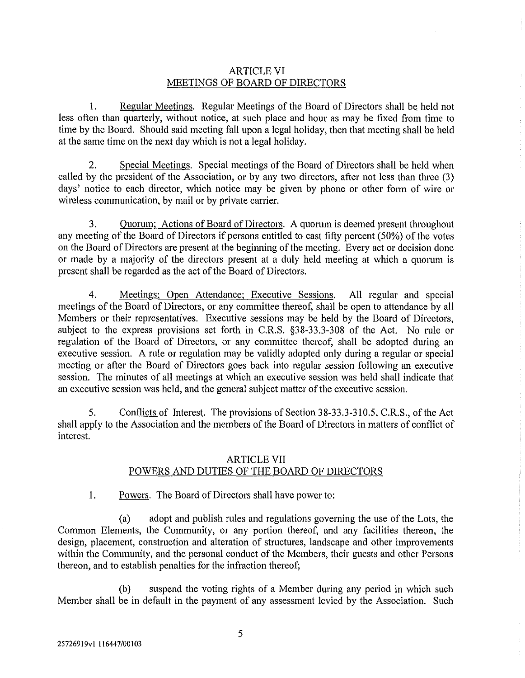### ARTICLE VI MEETINGS OF BOARD OF DIRECTORS

1. Regular Meetings. Regular Meetings of the Board of Directors shall be held not less often than quarterly, without notice, at such place and hour as may be fixed from time to time by the Board. Should said meeting fall upon a legal holiday, then that meeting shall be held at the same time on the next day which is not a legal holiday.

2. Special Meetings. Special meetings of the Board of Directors shall be held when called by the president of the Association, or by any two directors, after not less than three (3) days' notice to each director, which notice may be given by phone or other form of wire or wireless communication, by mail or by private carrier.

3. Quorum; Actions of Board of Directors. A quorum is deemed present throughout any meeting of the Board of Directors if persons entitled to cast fifty percent (50%) of the votes on the Board of Directors are present at the beginning of the meeting. Every act or decision done or made by a majority of the directors present at a duly held meeting at which a quorum is present shall be regarded as the act of the Board of Directors.

4. Meetings; Open Attendance; Executive Sessions. All regular and special meetings of the Board of Directors, or any committee thereof, shall be open to attendance by all Members or their representatives. Executive sessions may be held by the Board of Directors, subject to the express provisions set forth in C.R.S. §38-33.3-308 of the Act. No rule or regulation of the Board of Directors, or any committee thereof, shall be adopted during an executive session. A rule or regulation may be validly adopted only during a regular or special meeting or after the Board of Directors goes back into regular session following an executive session. The minutes of all meetings at which an executive session was held shall indicate that an executive session was held, and the general subject matter of the executive session.

5. Conflicts of Interest. The provisions of Section 38-33.3-310.5, C.R.S., of the Act shall apply to the Association and the members of the Board of Directors in matters of conflict of interest.

# ARTICLE VII

# POWERS AND DUTIES OF THE BOARD OF DIRECTORS

1. Powers. The Board of Directors shall have power to:

(a) adopt and publish rules and regulations governing the use of the Lots, the Common Elements, the Community, or any portion thereof, and any facilities thereon, the design, placement, construction and alteration of structures, landscape and other improvements within the Community, and the personal conduct of the Members, their guests and other Persons thereon, and to establish penalties for the infraction thereof;

(b) suspend the voting rights of a Member during any period in which such Member shall be in default in the payment of any assessment levied by the Association. Such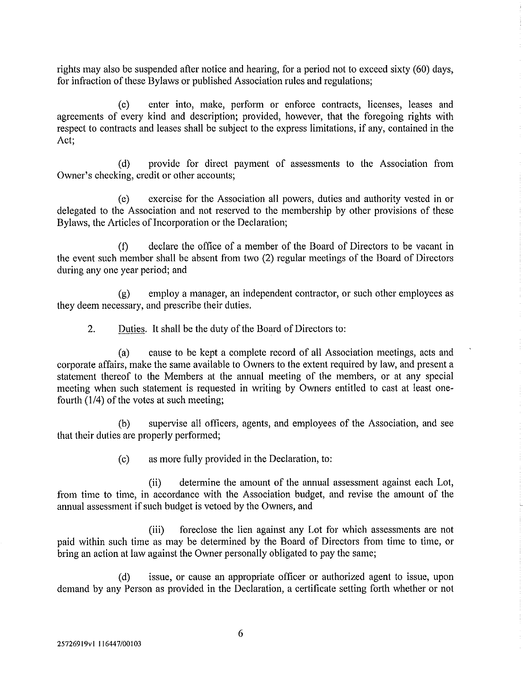rights may also be suspended after notice and hearing, for a period not to exceed sixty (60) days, for infraction of these Bylaws or published Association rules and regulations;

(c) enter into, make, perform or enforce contracts, licenses, leases and agreements of every kind and description; provided, however, that the foregoing rights with respect to contracts and leases shall be subject to the express limitations, if any, contained in the Act;

(d) provide for direct payment of assessments to the Association from Owner's checking, credit or other accounts;

(e) exercise for the Association all powers, duties and authority vested in or delegated to the Association and not reserved to the membership by other provisions of these Bylaws, the Articles of Incorporation or the Declaration;

(f) declare the office of a member of the Board of Directors to be vacant in the event such member shall be absent from two (2) regular meetings of the Board of Directors during any one year period; and

(g) employ a manager, an independent contractor, or such other employees as they deem necessary, and prescribe their duties.

2. Duties. It shall be the duty of the Board of Directors to:

(a) cause to be kept a complete record of all Association meetings, acts and corporate affairs, make the same available to Owners to the extent required by law, and present a statement thereof to the Members at the annual meeting of the members, or at any special meeting when such statement is requested in writing by Owners entitled to cast at least onefourth (1/4) of the votes at such meeting;

(b) supervise all officers, agents, and employees of the Association, and see that their duties are properly performed;

(c) as more fully provided in the Declaration, to:

(ii) determine the amount of the annual assessment against each Lot, from time to time, in accordance with the Association budget, and revise the amount of the annual assessment if such budget is vetoed by the Owners, and

(iii) foreclose the lien against any Lot for which assessments are not paid within such time as may be determined by the Board of Directors from time to time, or bring an action at law against the Owner personally obligated to pay the same;

(d) issue, or cause an appropriate officer or authorized agent to issue, upon demand by any Person as provided in the Declaration, a certificate setting forth whether or not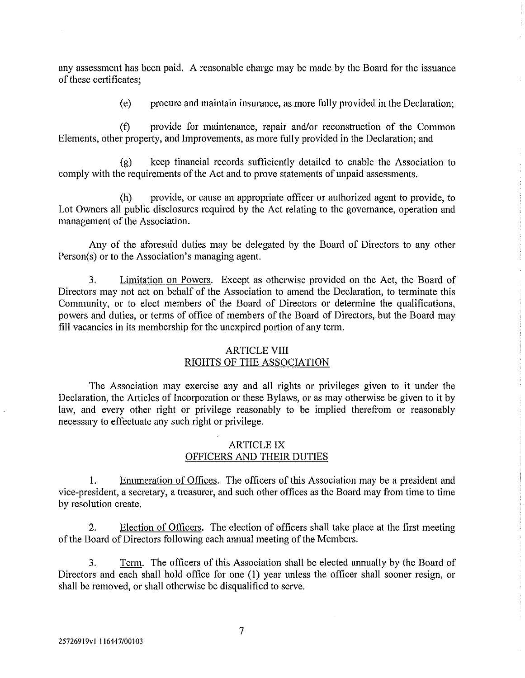any assessment has been paid. A reasonable charge may be made by the Board for the issuance of these certificates;

(e) procure and maintain insurance, as more fully provided in the Declaration;

(f) provide for maintenance, repair and/or reconstruction of the Common Elements, other property, and Improvements, as more fully provided in the Declaration; and

(g) keep financial records sufficiently detailed to enable the Association to comply with the requirements of the Act and to prove statements of unpaid assessments.

(h) provide, or cause an appropriate officer or authorized agent to provide, to Lot Owners all public disclosures required by the Act relating to the governance, operation and management of the Association.

Any of the aforesaid duties may be delegated by the Board of Directors to any other Person(s) or to the Association's managing agent.

3. Limitation on Powers. Except as otherwise provided on the Act, the Board of Directors may not act on behalf of the Association to amend the Declaration, to terminate this Community, or to elect members of the Board of Directors or determine the qualifications, powers and duties, or terms of office of members of the Board of Directors, but the Board may fill vacancies in its membership for the unexpired portion of any term.

## ARTICLE VIII RIGHTS OF THE ASSOCIATION

The Association may exercise any and all rights or privileges given to it under the Declaration, the Articles of Incorporation or these Bylaws, or as may otherwise be given to it by law, and every other right or privilege reasonably to be implied therefrom or reasonably necessary to effectuate any such right or privilege.

### ARTICLE IX OFFICERS AND THEIR DUTIES

I. Enumeration of Offices. The officers of this Association may be a president and vice-president, a secretary, a treasurer, and such other offices as the Board may from time to time by resolution create.

2. Election of Officers. The election of officers shall take place at the first meeting of the Board of Directors following each annual meeting of the Members.

3. Term. The officers of this Association shall be elected annually by the Board of Directors and each shall hold office for one (1) year unless the officer shall sooner resign, or shall be removed, or shall otherwise be disqualified to serve.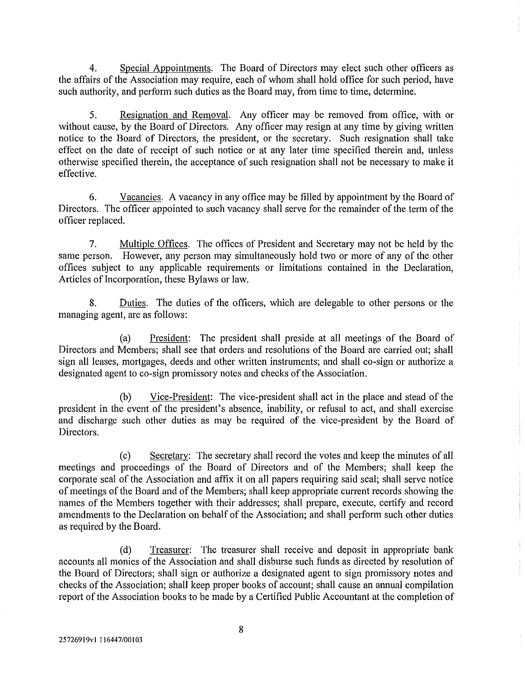4. Special Appointments. The Board of Directors may elect such other officers as the affairs of the Association may require, each of whom shall hold office for such period, have such authority, and perform such duties as the Board may, from time to time, determine.

5. Resignation and Removal. Any officer may be removed from office, with or without cause, by the Board of Directors. Any officer may resign at any time by giving written notice to the Board of Directors, the president, or the secretary. Such resignation shall take effect on the date of receipt of such notice or at any later time specified therein and, unless otherwise specified therein, the acceptance of such resignation shall not be necessary to make it effective.

6. Vacancies. A vacancy in any office may be filled by appointment by the Board of Directors. The officer appointed to such vacancy shall serve for the remainder of the term of the officer replaced.

7. Multiple Offices. The offices of President and Secretary may not be held by the same person. However, any person may simultaneously hold two or more of any of the other offices subject to any applicable requirements or limitations contained in the Declaration, Articles of Incorporation, these Bylaws or law.

8. Duties. The duties of the officers, which are delegable to other persons or the managing agent, are as follows:

(a) President: The president shall preside at all meetings of the Board of Directors and Members; shall see that orders and resolutions of the Board are carried out; shall sign all leases, mortgages, deeds and other written instruments; and shall co-sign or authorize a designated agent to co-sign promissory notes and checks of the Association.

(b) Vice-President: The vice-president shall act in the place and stead of the president in the event of the president's absence, inability, or refusal to act, and shall exercise and discharge such other duties as may be required of the vice-president by the Board of Directors.

(c) Secretary: The secretary shall record the votes and keep the minutes of all meetings and proceedings of the Board of Directors and of the Members; shall keep the corporate seal of the Association and affix it on all papers requiring said seal; shall serve notice of meetings of the Board and of the Members; shall keep appropriate current records showing the names of the Members together with their addresses; shall prepare, execute, certify and record amendments to the Declaration on behalf of the Association; and shall perform such other duties as required by the Board.

(d) Treasurer: The treasurer shall receive and deposit in appropriate bank accounts all monies of the Association and shall disburse such funds as directed by resolution of the Board of Directors; shall sign or authorize a designated agent to sign promissory notes and checks of the Association; shall keep proper books of account; shall cause an annual compilation report of the Association books to be made by a Certified Public Accountant at the completion of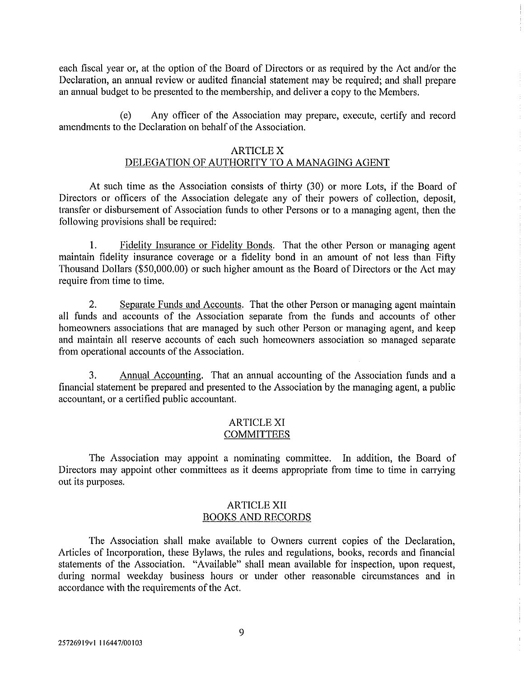each fiscal year or, at the option of the Board of Directors or as required by the Act and/or the Declaration, an annual review or audited financial statement may be required; and shall prepare an annual budget to be presented to the membership, and deliver a copy to the Members.

(e) Any officer of the Association may prepare, execute, certify and record amendments to the Declaration on behalf of the Association.

### ARTICLE X

# DELEGATION OF AUTHORITY TO A MANAGING AGENT

At such time as the Association consists of thirty (30) or more Lots, if the Board of Directors or officers of the Association delegate any of their powers of collection, deposit, transfer or disbursement of Association funds to other Persons or to a managing agent, then the following provisions shall be required:

I. Fidelity Insurance or Fidelity Bonds. That the other Person or managing agent maintain fidelity insurance coverage or a fidelity bond in an amount of not less than Fifty Thousand Dollars (\$50,000.00) or such higher amount as the Board of Directors or the Act may require from time to time.

2. Separate Funds and Accounts. That the other Person or managing agent maintain all funds and accounts of the Association separate from the funds and accounts of other homeowners associations that are managed by such other Person or managing agent, and keep and maintain all reserve accounts of each such homeowners association so managed separate from operational accounts of the Association.

3. Annual Accounting. That an annual accounting of the Association funds and a financial statement be prepared and presented to the Association by the managing agent, a public accountant, or a certified public accountant.

### ARTICLE XI COMMITTEES

The Association may appoint a nominating committee. In addition, the Board of Directors may appoint other committees as it deems appropriate from time to time in carrying out its purposes.

### ARTICLE XII BOOKS AND RECORDS

The Association shall make available to Owners current copies of the Declaration, Articles of Incorporation, these Bylaws, the rules and regulations, books, records and financial statements of the Association. "Available" shall mean available for inspection, upon request, during normal weekday business hours or under other reasonable circumstances and in accordance with the requirements of the Act.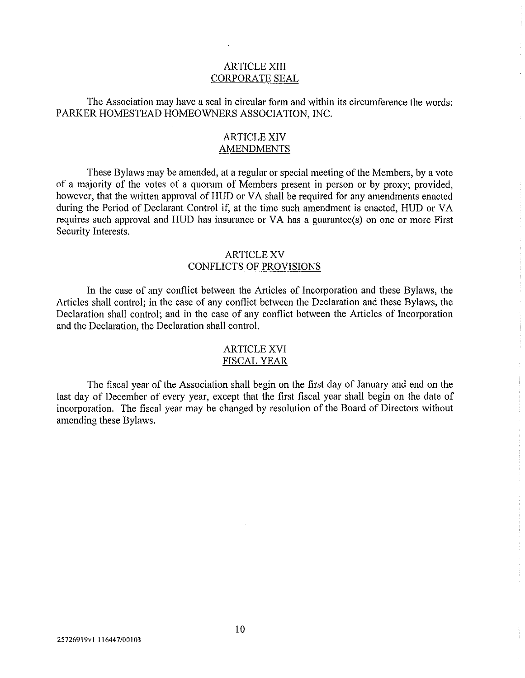## ARTICLE XIII CORPORATE SEAL

The Association may have a seal in circular form and within its circumference the words: PARKER HOMESTEAD HOMEOWNERS ASSOCIATION, INC.

# ARTICLE XIV **AMENDMENTS**

These Bylaws may be amended, at a regular or special meeting of the Members, by a vote of a majority of the votes of a quorum of Members present in person or by proxy; provided, however, that the written approval of HUD or VA shall be required for any amendments enacted during the Period of Declarant Control if, at the time such amendment is enacted, HUD or VA requires such approval and HUD has insurance or VA has a guarantee(s) on one or more First Security Interests.

### ARTICLE XV CONFLICTS OF PROVISIONS

In the case of any conflict between the Articles of Incorporation and these Bylaws, the Articles shall control; in the case of any conflict between the Declaration and these Bylaws, the Declaration shall control; and in the case of any conflict between the Articles of Incorporation and the Declaration, the Declaration shall control.

### ARTICLE XVI FISCAL YEAR

The fiscal year of the Association shall begin on the first day of January and end on the last day of December of every year, except that the first fiscal year shall begin on the date of incorporation. The fiscal year may be changed by resolution of the Board of Directors without amending these Bylaws.